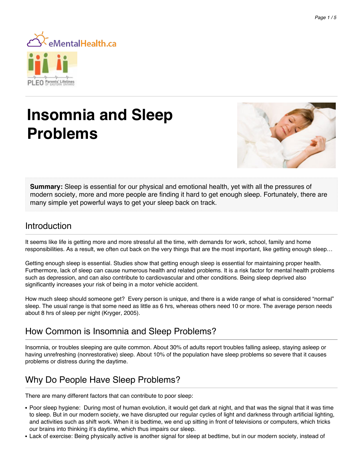

# **Insomnia and Sleep Problems**



**Summary:** Sleep is essential for our physical and emotional health, yet with all the pressures of modern society, more and more people are finding it hard to get enough sleep. Fortunately, there are many simple yet powerful ways to get your sleep back on track.

### **Introduction**

It seems like life is getting more and more stressful all the time, with demands for work, school, family and home responsibilities. As a result, we often cut back on the very things that are the most important, like getting enough sleep…

Getting enough sleep is essential. Studies show that getting enough sleep is essential for maintaining proper health. Furthermore, lack of sleep can cause numerous health and related problems. It is a risk factor for mental health problems such as depression, and can also contribute to cardiovascular and other conditions. Being sleep deprived also significantly increases your risk of being in a motor vehicle accident.

How much sleep should someone get? Every person is unique, and there is a wide range of what is considered "normal" sleep. The usual range is that some need as little as 6 hrs, whereas others need 10 or more. The average person needs about 8 hrs of sleep per night (Kryger, 2005).

# How Common is Insomnia and Sleep Problems?

Insomnia, or troubles sleeping are quite common. About 30% of adults report troubles falling asleep, staying asleep or having unrefreshing (nonrestorative) sleep. About 10% of the population have sleep problems so severe that it causes problems or distress during the daytime.

# Why Do People Have Sleep Problems?

There are many different factors that can contribute to poor sleep:

- Poor sleep hygiene: During most of human evolution, it would get dark at night, and that was the signal that it was time to sleep. But in our modern society, we have disrupted our regular cycles of light and darkness through artificial lighting, and activities such as shift work. When it is bedtime, we end up sitting in front of televisions or computers, which tricks our brains into thinking it's daytime, which thus impairs our sleep.
- Lack of exercise: Being physically active is another signal for sleep at bedtime, but in our modern society, instead of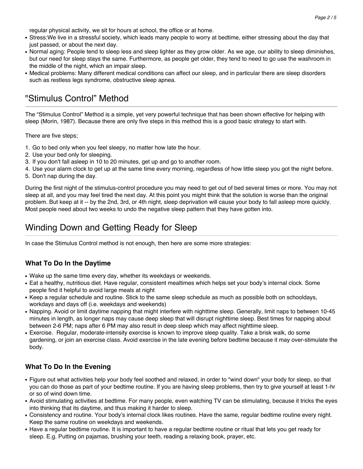regular physical activity, we sit for hours at school, the office or at home.

- Stress: We live in a stressful society, which leads many people to worry at bedtime, either stressing about the day that just passed, or about the next day.
- Normal aging: People tend to sleep less and sleep lighter as they grow older. As we age, our ability to sleep diminishes, but our need for sleep stays the same. Furthermore, as people get older, they tend to need to go use the washroom in the middle of the night, which an impair sleep.
- Medical problems: Many different medical conditions can affect our sleep, and in particular there are sleep disorders such as restless legs syndrome, obstructive sleep apnea.

### "Stimulus Control" Method

The "Stimulus Control" Method is a simple, yet very powerful technique that has been shown effective for helping with sleep (Morin, 1987). Because there are only five steps in this method this is a good basic strategy to start with.

There are five steps;

- 1. Go to bed only when you feel sleepy, no matter how late the hour.
- 2. Use your bed only for sleeping.
- 3. If you don't fall asleep in 10 to 20 minutes, get up and go to another room.
- 4. Use your alarm clock to get up at the same time every morning, regardless of how little sleep you got the night before.
- 5. Don't nap during the day.

During the first night of the stimulus-control procedure you may need to get out of bed several times or more. You may not sleep at all, and you may feel tired the next day. At this point you might think that the solution is worse than the original problem. But keep at it -- by the 2nd, 3rd, or 4th night, sleep deprivation will cause your body to fall asleep more quickly. Most people need about two weeks to undo the negative sleep pattern that they have gotten into.

## Winding Down and Getting Ready for Sleep

In case the Stimulus Control method is not enough, then here are some more strategies:

#### **What To Do In the Daytime**

- Wake up the same time every day, whether its weekdays or weekends.
- Eat a healthy, nutritious diet. Have regular, consistent mealtimes which helps set your body's internal clock. Some people find it helpful to avoid large meals at night
- Keep a regular schedule and routine. Stick to the same sleep schedule as much as possible both on schooldays, workdays and days off (i.e. weekdays and weekends)
- Napping. Avoid or limit daytime napping that might interfere with nighttime sleep. Generally, limit naps to between 10-45 minutes in length, as longer naps may cause deep sleep that will disrupt nighttime sleep. Best times for napping about between 2-6 PM; naps after 6 PM may also result in deep sleep which may affect nighttime sleep.
- Exercise. Regular, moderate-intensity exercise is known to improve sleep quality. Take a brisk walk, do some gardening, or join an exercise class. Avoid exercise in the late evening before bedtime because it may over-stimulate the body.

#### **What To Do In the Evening**

- Figure out what activities help your body feel soothed and relaxed, in order to "wind down" your body for sleep, so that you can do those as part of your bedtime routine. If you are having sleep problems, then try to give yourself at least 1-hr or so of wind down time.
- Avoid stimulating activities at bedtime. For many people, even watching TV can be stimulating, because it tricks the eyes into thinking that its daytime, and thus making it harder to sleep.
- Consistency and routine. Your body's internal clock likes routines. Have the same, regular bedtime routine every night. Keep the same routine on weekdays and weekends.
- Have a regular bedtime routine. It is important to have a regular bedtime routine or ritual that lets you get ready for sleep. E.g. Putting on pajamas, brushing your teeth, reading a relaxing book, prayer, etc.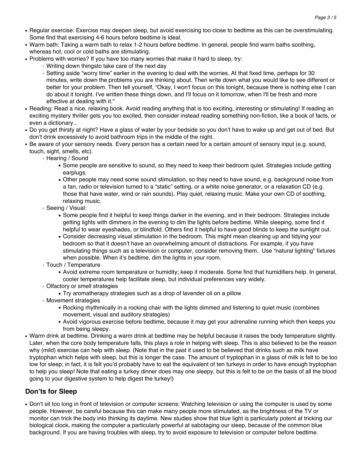- Regular exercise: Exercise may deepen sleep, but avoid exercising too close to bedtime as this can be overstimulating. Some find that exercising 4-6 hours before bedtime is ideal.
- Warm bath: Taking a warm bath to relax 1-2 hours before bedtime. In general, people find warm baths soothing, whereas hot, cool or cold baths are stimulating.
- Problems with worries? If you have too many worries that make it hard to sleep, try:
	- ❍ Writing down thingsto take care of the next day
	- ❍ Setting aside "worry time" earlier in the evening to deal with the worries. At that fixed time, perhaps for 30 minutes, write down the problems you are thinking about. Then write down what you would like to see different or better for your problem. Then tell yourself, "Okay, I won't focus on this tonight, because there is nothing else I can do about it tonight. I've written these things down, and I'll focus on it tomorrow, when I'll be fresh and more effective at dealing with it."
- Reading: Read a nice, relaxing book. Avoid reading anything that is too exciting, interesting or stimulating! If reading an exciting mystery thriller gets you too excited, then consider instead reading something non-fiction, like a book of facts, or even a dictionary...
- Do you get thirsty at night? Have a glass of water by your bedside so you don't have to wake up and get out of bed. But don't drink excessively to avoid bathroom trips in the middle of the night.
- Be aware of your sensory needs. Every person has a certain need for a certain amount of sensory input (e.g. sound, touch, sight, smells, etc).
	- ❍ Hearing / Sound
		- Some people are sensitive to sound, so they need to keep their bedroom quiet. Strategies include getting earplugs.
		- Other people may need some sound stimulation, so they need to have sound, e.g. background noise from a fan, radio or television turned to a "static" setting, or a white noise generator, or a relaxation CD (e.g. those that have water, wind or rain sounds). Play quiet, relaxing music. Make your own CD of soothing, relaxing music.
	- ❍ Seeing / Visual:
		- Some people find it helpful to keep things darker in the evening, and in their bedroom. Strategies include getting lights with dimmers in the evening to dim the lights before bedtime. While sleeping, some find it helpful to wear eyeshades, or blindfold. Others find it helpful to have good blinds to keep the sunlight out.
		- Consider decreasing visual stimulation in the bedroom. This might mean cleaning up and tidying your bedroom so that it doesn't have an overwhelming amount of distractions. For example, if you have stimulating things such as a television or computer, consider removing them. Use "natural lighting" fixtures when possible. When it's bedtime, dim the lights in your room.
	- ❍ Touch / Temperature
		- Avoid extreme room temperature or humidity; keep it moderate. Some find that humidifiers help. In general, cooler temperatures help facilitate sleep, but individual preferences vary widely.
	- ❍ Olfactory or smell strategies
		- Try aromatherapy strategies such as a drop of lavender oil on a pillow
	- ❍ Movement strategies
		- Rocking rhythmically in a rocking chair with the lights dimmed and listening to quiet music (combines movement, visual and auditory strategies)
		- Avoid vigorous exercise before bedtime, because it may get your adrenaline running which then keeps you from being sleepy.
- Warm drink at bedtime. Drinking a warm drink at bedtime may be helpful because it raises the body temperature slightly. Later, when the core body temperature falls, this plays a role in helping with sleep. This is also believed to be the reason why (mild) exercise can help with sleep. (Note that in the past it used to be believed that drinks such as milk have tryptophan which helps with sleep, but this is longer the case. The amount of tryptophan in a glass of milk is felt to be too low for sleep; in fact, it is felt you'd probably have to eat the equivalent of ten turkeys in order to have enough tryptophan to help you sleep! Note that eating a turkey dinner does may one sleepy, but this is felt to be on the basis of all the blood going to your digestive system to help digest the turkey!)

#### **Don'ts for Sleep**

• Don't sit too long in front of television or computer screens: Watching television or using the computer is used by some people. However, be careful because this can make many people more stimulated, as the brightness of the TV or monitor can trick the body into thinking its daytime. New studies show that blue light is particularly potent at tricking our biological clock, making the computer a particularly powerful at sabotaging our sleep, because of the common blue background. If you are having troubles with sleep, try to avoid exposure to television or computer before bedtime.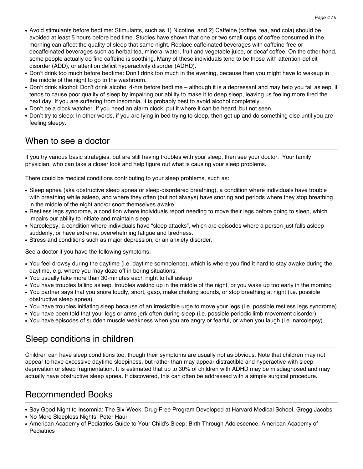- Avoid stimulants before bedtime: Stimulants, such as 1) Nicotine, and 2) Caffeine (coffee, tea, and cola) should be avoided at least 5 hours before bed time. Studies have shown that one or two small cups of coffee consumed in the morning can affect the quality of sleep that same night. Replace caffeinated beverages with caffeine-free or decaffeinated beverages such as herbal tea, mineral water, fruit and vegetable juice, or decaf coffee. On the other hand, some people actually do find caffeine is soothing. Many of these individuals tend to be those with attention-deficit disorder (ADD), or attention deficit hyperactivity disorder (ADHD).
- Don't drink too much before bedtime: Don't drink too much in the evening, because then you might have to wakeup in the middle of the night to go to the washroom.
- Don't drink alcohol: Don't drink alcohol 4-hrs before bedtime although it is a depressant and may help you fall asleep, it tends to cause poor quality of sleep by impairing our ability to make it to deep sleep, leaving us feeling more tired the next day. If you are suffering from insomnia, it is probably best to avoid alcohol completely.
- Don't be a clock watcher. If you need an alarm clock, put it where it can be heard, but not seen.
- Don't try to sleep: In other words, if you are lying in bed trying to sleep, then get up and do something else until you are feeling sleepy.

### When to see a doctor

If you try various basic strategies, but are still having troubles with your sleep, then see your doctor. Your family physician, who can take a closer look and help figure out what is causing your sleep problems.

There could be medical conditions contributing to your sleep problems, such as:

- Sleep apnea (aka obstructive sleep apnea or sleep-disordered breathing), a condition where individuals have trouble with breathing while asleep, and where they often (but not always) have snoring and periods where they stop breathing in the middle of the night and/or snort themselves awake.
- Restless legs syndrome, a condition where individuals report needing to move their legs before going to sleep, which impairs our ability to initiate and maintain sleep
- Narcolepsy, a condition where individuals have "sleep attacks", which are episodes where a person just falls asleep suddenly, or have extreme, overwhelming fatigue and tiredness.
- Stress and conditions such as major depression, or an anxiety disorder.

See a doctor if you have the following symptoms:

- You feel drowsy during the daytime (i.e. daytime somnolence), which is where you find it hard to stay awake during the daytime, e.g. where you may doze off in boring situations.
- You usually take more than 30-minutes each night to fall asleep
- You have troubles falling asleep, troubles waking up in the middle of the night, or you wake up too early in the morning
- You partner says that you snore loudly, snort, gasp, make choking sounds, or stop breathing at night (i.e. possible obstructive sleep apnea)
- You have troubles initiating sleep because of an irresistible urge to move your legs (i.e. possible restless legs syndrome)
- You have been told that your legs or arms jerk often during sleep (i.e. possible periodic limb movement disorder).
- You have episodes of sudden muscle weakness when you are angry or fearful, or when you laugh (i.e. narcolepsy).

# Sleep conditions in children

Children can have sleep conditions too, though their symptoms are usually not as obvious. Note that children may not appear to have excessive daytime sleepiness, but rather than may appear distractible and hyperactive with sleep deprivation or sleep fragmentation. It is estimated that up to 30% of children with ADHD may be misdiagnosed and may actually have obstructive sleep apnea. If discovered, this can often be addressed with a simple surgical procedure.

## Recommended Books

• Say Good Night to Insomnia: The Six-Week, Drug-Free Program Developed at Harvard Medical School, Gregg Jacobs

- No More Sleepless Nights, Peter Hauri
- American Academy of Pediatrics Guide to Your Child's Sleep: Birth Through Adolescence, American Academy of **Pediatrics**